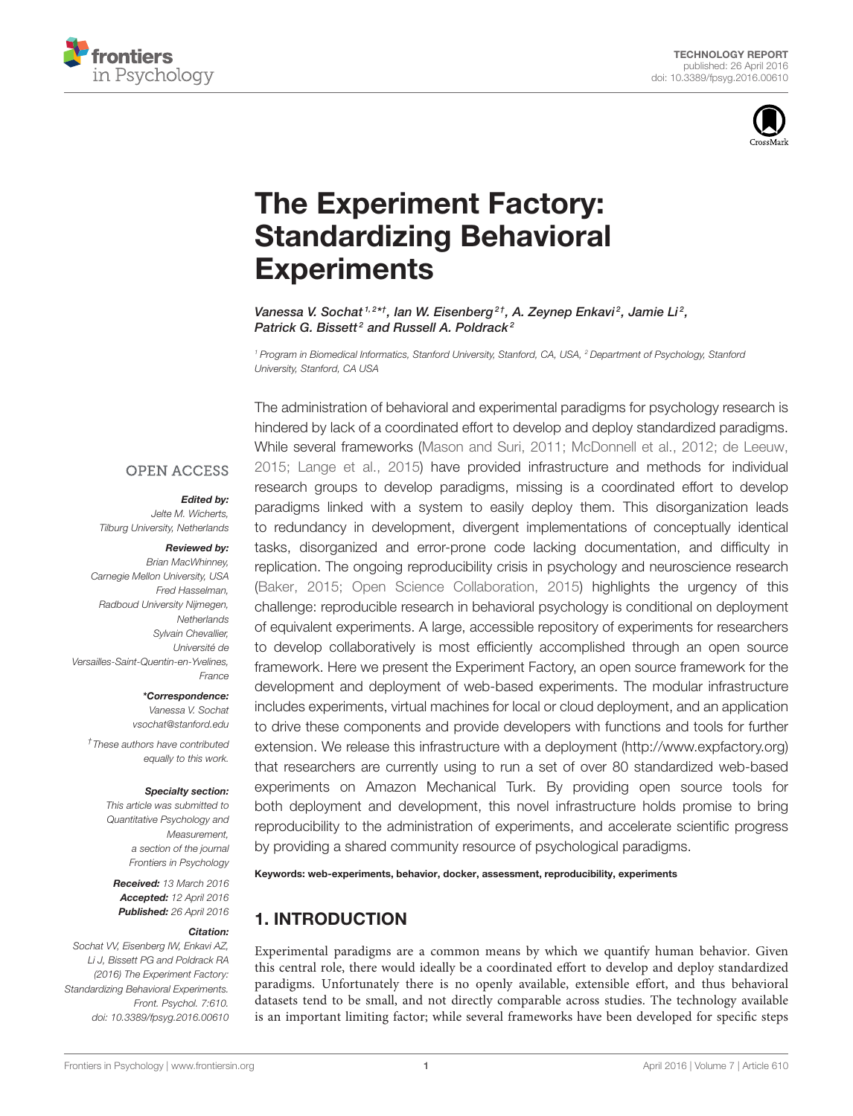



# The Experiment Factory: [Standardizing Behavioral](http://journal.frontiersin.org/article/10.3389/fpsyg.2016.00610/abstract) **Experiments**

[Vanessa V. Sochat](http://loop.frontiersin.org/people/188284/overview)<sup>1,2\*†</sup>, lan W. Eisenberg<sup>2†</sup>, [A. Zeynep Enkavi](http://loop.frontiersin.org/people/340512/overview)<sup>2</sup>, Jamie Li<sup>2</sup>, [Patrick G. Bissett](http://loop.frontiersin.org/people/340189/overview)<sup>2</sup> and [Russell A. Poldrack](http://loop.frontiersin.org/people/274/overview)<sup>2</sup>

<sup>1</sup> Program in Biomedical Informatics, Stanford University, Stanford, CA, USA, <sup>2</sup> Department of Psychology, Stanford University, Stanford, CA USA

#### **OPEN ACCESS**

#### Edited by:

Jelte M. Wicherts, Tilburg University, Netherlands

#### Reviewed by:

Brian MacWhinney, Carnegie Mellon University, USA Fred Hasselman, Radboud University Nijmegen, **Netherlands** Sylvain Chevallier, Université de Versailles-Saint-Quentin-en-Yvelines, France

> \*Correspondence: Vanessa V. Sochat [vsochat@stanford.edu](mailto:vsochat@stanford.edu)

† These authors have contributed equally to this work.

#### Specialty section:

This article was submitted to Quantitative Psychology and **Measurement** a section of the journal Frontiers in Psychology

Received: 13 March 2016 Accepted: 12 April 2016 Published: 26 April 2016

#### Citation:

Sochat VV, Eisenberg IW, Enkavi AZ, Li J, Bissett PG and Poldrack RA (2016) The Experiment Factory: Standardizing Behavioral Experiments. Front. Psychol. 7:610. doi: [10.3389/fpsyg.2016.00610](http://dx.doi.org/10.3389/fpsyg.2016.00610)

The administration of behavioral and experimental paradigms for psychology research is hindered by lack of a coordinated effort to develop and deploy standardized paradigms. While several frameworks [\(Mason and Suri, 2011;](#page-8-0) [McDonnell et al., 2012;](#page-8-1) [de Leeuw,](#page-8-2) [2015;](#page-8-2) [Lange et al., 2015\)](#page-8-3) have provided infrastructure and methods for individual research groups to develop paradigms, missing is a coordinated effort to develop paradigms linked with a system to easily deploy them. This disorganization leads to redundancy in development, divergent implementations of conceptually identical tasks, disorganized and error-prone code lacking documentation, and difficulty in replication. The ongoing reproducibility crisis in psychology and neuroscience research [\(Baker, 2015;](#page-8-4) [Open Science Collaboration, 2015\)](#page-8-5) highlights the urgency of this challenge: reproducible research in behavioral psychology is conditional on deployment of equivalent experiments. A large, accessible repository of experiments for researchers to develop collaboratively is most efficiently accomplished through an open source framework. Here we present the Experiment Factory, an open source framework for the development and deployment of web-based experiments. The modular infrastructure includes experiments, virtual machines for local or cloud deployment, and an application to drive these components and provide developers with functions and tools for further extension. We release this infrastructure with a deployment [\(http://www.expfactory.org\)](http://www.expfactory.org) that researchers are currently using to run a set of over 80 standardized web-based experiments on Amazon Mechanical Turk. By providing open source tools for both deployment and development, this novel infrastructure holds promise to bring reproducibility to the administration of experiments, and accelerate scientific progress by providing a shared community resource of psychological paradigms.

Keywords: web-experiments, behavior, docker, assessment, reproducibility, experiments

# 1. INTRODUCTION

Experimental paradigms are a common means by which we quantify human behavior. Given this central role, there would ideally be a coordinated effort to develop and deploy standardized paradigms. Unfortunately there is no openly available, extensible effort, and thus behavioral datasets tend to be small, and not directly comparable across studies. The technology available is an important limiting factor; while several frameworks have been developed for specific steps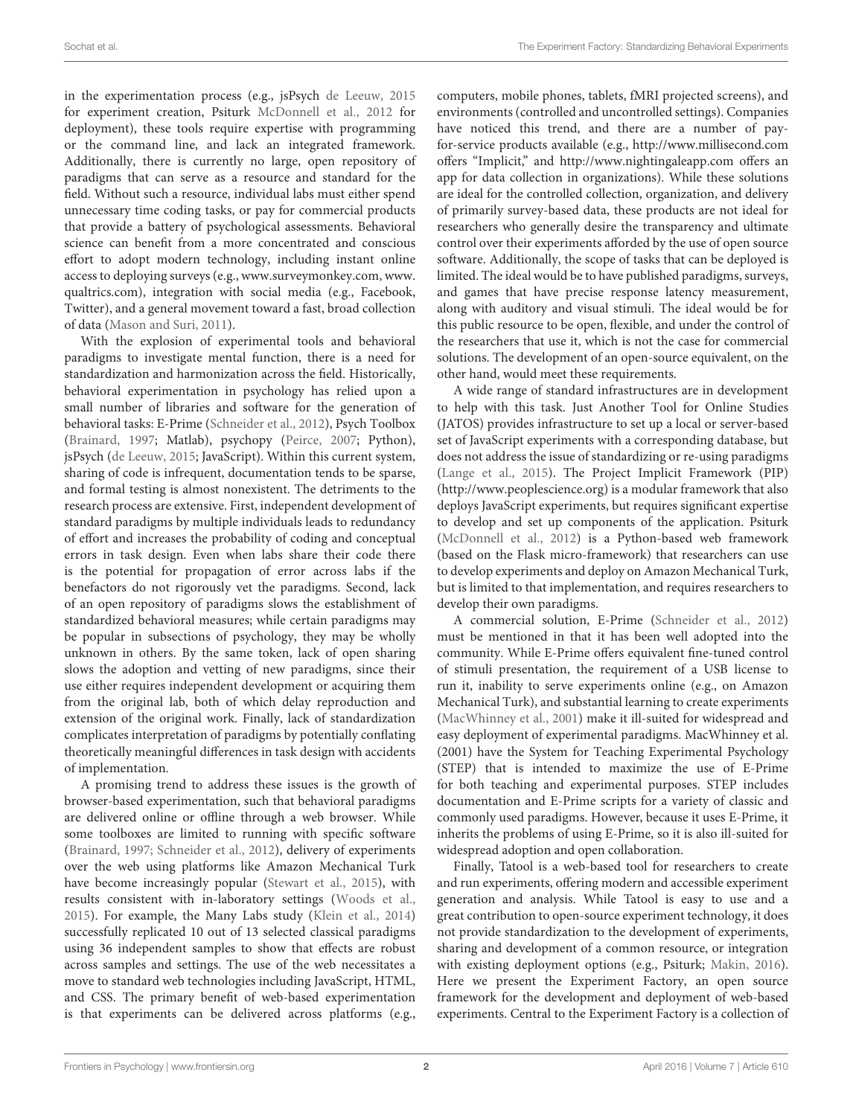in the experimentation process (e.g., jsPsych [de Leeuw, 2015](#page-8-2) for experiment creation, Psiturk [McDonnell et al., 2012](#page-8-1) for deployment), these tools require expertise with programming or the command line, and lack an integrated framework. Additionally, there is currently no large, open repository of paradigms that can serve as a resource and standard for the field. Without such a resource, individual labs must either spend unnecessary time coding tasks, or pay for commercial products that provide a battery of psychological assessments. Behavioral science can benefit from a more concentrated and conscious effort to adopt modern technology, including instant online access to deploying surveys (e.g., [www.surveymonkey.com,](www.surveymonkey.com) [www.](www.qualtrics.com) [qualtrics.com\)](www.qualtrics.com), integration with social media (e.g., Facebook, Twitter), and a general movement toward a fast, broad collection of data [\(Mason and Suri, 2011\)](#page-8-0).

With the explosion of experimental tools and behavioral paradigms to investigate mental function, there is a need for standardization and harmonization across the field. Historically, behavioral experimentation in psychology has relied upon a small number of libraries and software for the generation of behavioral tasks: E-Prime [\(Schneider et al., 2012\)](#page-8-6), Psych Toolbox [\(Brainard, 1997;](#page-8-7) Matlab), psychopy [\(Peirce, 2007;](#page-8-8) Python), jsPsych [\(de Leeuw, 2015;](#page-8-2) JavaScript). Within this current system, sharing of code is infrequent, documentation tends to be sparse, and formal testing is almost nonexistent. The detriments to the research process are extensive. First, independent development of standard paradigms by multiple individuals leads to redundancy of effort and increases the probability of coding and conceptual errors in task design. Even when labs share their code there is the potential for propagation of error across labs if the benefactors do not rigorously vet the paradigms. Second, lack of an open repository of paradigms slows the establishment of standardized behavioral measures; while certain paradigms may be popular in subsections of psychology, they may be wholly unknown in others. By the same token, lack of open sharing slows the adoption and vetting of new paradigms, since their use either requires independent development or acquiring them from the original lab, both of which delay reproduction and extension of the original work. Finally, lack of standardization complicates interpretation of paradigms by potentially conflating theoretically meaningful differences in task design with accidents of implementation.

A promising trend to address these issues is the growth of browser-based experimentation, such that behavioral paradigms are delivered online or offline through a web browser. While some toolboxes are limited to running with specific software [\(Brainard, 1997;](#page-8-7) [Schneider et al., 2012\)](#page-8-6), delivery of experiments over the web using platforms like Amazon Mechanical Turk have become increasingly popular [\(Stewart et al., 2015\)](#page-8-9), with results consistent with in-laboratory settings [\(Woods et al.,](#page-8-10) [2015\)](#page-8-10). For example, the Many Labs study [\(Klein et al., 2014\)](#page-8-11) successfully replicated 10 out of 13 selected classical paradigms using 36 independent samples to show that effects are robust across samples and settings. The use of the web necessitates a move to standard web technologies including JavaScript, HTML, and CSS. The primary benefit of web-based experimentation is that experiments can be delivered across platforms (e.g., computers, mobile phones, tablets, fMRI projected screens), and environments (controlled and uncontrolled settings). Companies have noticed this trend, and there are a number of payfor-service products available (e.g.,<http://www.millisecond.com> offers "Implicit," and<http://www.nightingaleapp.com> offers an app for data collection in organizations). While these solutions are ideal for the controlled collection, organization, and delivery of primarily survey-based data, these products are not ideal for researchers who generally desire the transparency and ultimate control over their experiments afforded by the use of open source software. Additionally, the scope of tasks that can be deployed is limited. The ideal would be to have published paradigms, surveys, and games that have precise response latency measurement, along with auditory and visual stimuli. The ideal would be for this public resource to be open, flexible, and under the control of the researchers that use it, which is not the case for commercial solutions. The development of an open-source equivalent, on the other hand, would meet these requirements.

A wide range of standard infrastructures are in development to help with this task. Just Another Tool for Online Studies (JATOS) provides infrastructure to set up a local or server-based set of JavaScript experiments with a corresponding database, but does not address the issue of standardizing or re-using paradigms [\(Lange et al., 2015\)](#page-8-3). The Project Implicit Framework (PIP) [\(http://www.peoplescience.org\)](http://www.peoplescience.org) is a modular framework that also deploys JavaScript experiments, but requires significant expertise to develop and set up components of the application. Psiturk [\(McDonnell et al., 2012\)](#page-8-1) is a Python-based web framework (based on the Flask micro-framework) that researchers can use to develop experiments and deploy on Amazon Mechanical Turk, but is limited to that implementation, and requires researchers to develop their own paradigms.

A commercial solution, E-Prime [\(Schneider et al., 2012\)](#page-8-6) must be mentioned in that it has been well adopted into the community. While E-Prime offers equivalent fine-tuned control of stimuli presentation, the requirement of a USB license to run it, inability to serve experiments online (e.g., on Amazon Mechanical Turk), and substantial learning to create experiments [\(MacWhinney et al., 2001\)](#page-8-12) make it ill-suited for widespread and easy deployment of experimental paradigms. MacWhinney et al. (2001) have the System for Teaching Experimental Psychology (STEP) that is intended to maximize the use of E-Prime for both teaching and experimental purposes. STEP includes documentation and E-Prime scripts for a variety of classic and commonly used paradigms. However, because it uses E-Prime, it inherits the problems of using E-Prime, so it is also ill-suited for widespread adoption and open collaboration.

Finally, Tatool is a web-based tool for researchers to create and run experiments, offering modern and accessible experiment generation and analysis. While Tatool is easy to use and a great contribution to open-source experiment technology, it does not provide standardization to the development of experiments, sharing and development of a common resource, or integration with existing deployment options (e.g., Psiturk; [Makin, 2016\)](#page-8-13). Here we present the Experiment Factory, an open source framework for the development and deployment of web-based experiments. Central to the Experiment Factory is a collection of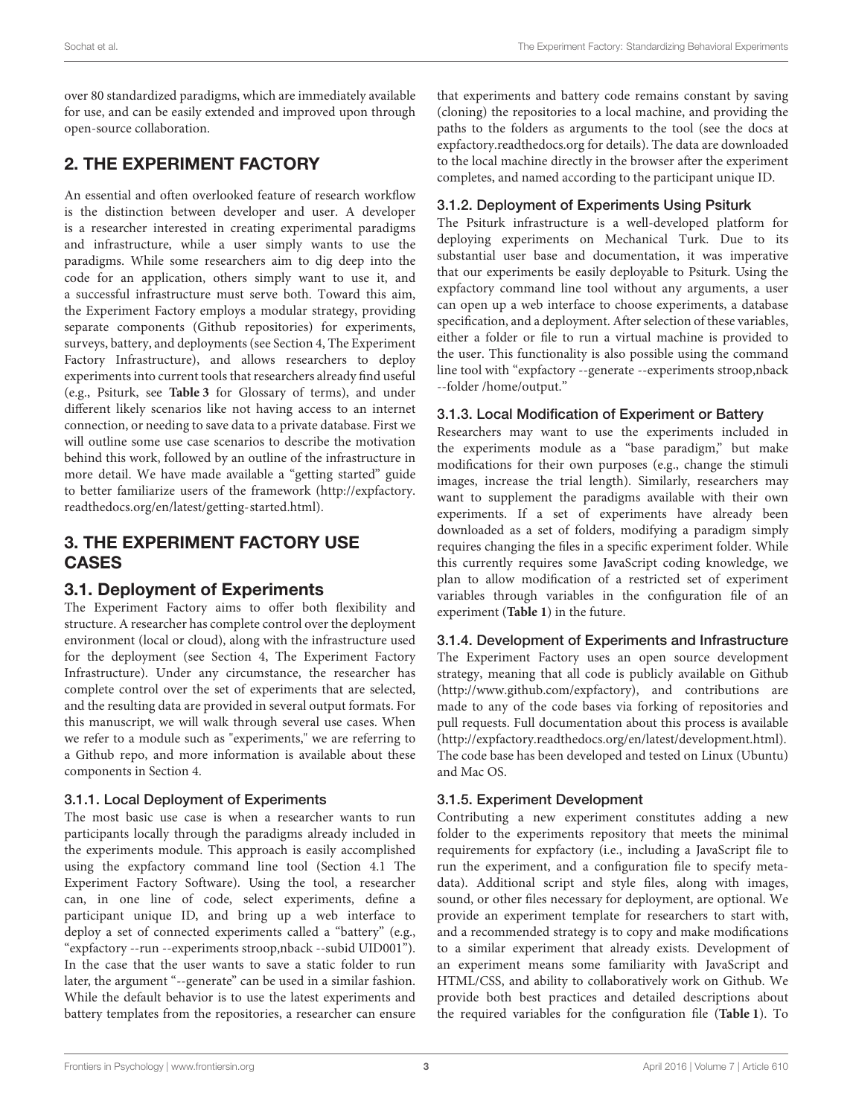over 80 standardized paradigms, which are immediately available for use, and can be easily extended and improved upon through open-source collaboration.

# 2. THE EXPERIMENT FACTORY

An essential and often overlooked feature of research workflow is the distinction between developer and user. A developer is a researcher interested in creating experimental paradigms and infrastructure, while a user simply wants to use the paradigms. While some researchers aim to dig deep into the code for an application, others simply want to use it, and a successful infrastructure must serve both. Toward this aim, the Experiment Factory employs a modular strategy, providing separate components (Github repositories) for experiments, surveys, battery, and deployments (see Section 4, The Experiment Factory Infrastructure), and allows researchers to deploy experiments into current tools that researchers already find useful (e.g., Psiturk, see **[Table 3](#page-6-0)** for Glossary of terms), and under different likely scenarios like not having access to an internet connection, or needing to save data to a private database. First we will outline some use case scenarios to describe the motivation behind this work, followed by an outline of the infrastructure in more detail. We have made available a "getting started" guide to better familiarize users of the framework [\(http://expfactory.](http://expfactory.readthedocs.org/en/latest/getting-started.html) [readthedocs.org/en/latest/getting-started.html\)](http://expfactory.readthedocs.org/en/latest/getting-started.html).

# 3. THE EXPERIMENT FACTORY USE CASES

# 3.1. Deployment of Experiments

The Experiment Factory aims to offer both flexibility and structure. A researcher has complete control over the deployment environment (local or cloud), along with the infrastructure used for the deployment (see Section 4, The Experiment Factory Infrastructure). Under any circumstance, the researcher has complete control over the set of experiments that are selected, and the resulting data are provided in several output formats. For this manuscript, we will walk through several use cases. When we refer to a module such as "experiments," we are referring to a Github repo, and more information is available about these components in Section 4.

### 3.1.1. Local Deployment of Experiments

The most basic use case is when a researcher wants to run participants locally through the paradigms already included in the experiments module. This approach is easily accomplished using the expfactory command line tool (Section 4.1 The Experiment Factory Software). Using the tool, a researcher can, in one line of code, select experiments, define a participant unique ID, and bring up a web interface to deploy a set of connected experiments called a "battery" (e.g., "expfactory --run --experiments stroop,nback --subid UID001"). In the case that the user wants to save a static folder to run later, the argument "--generate" can be used in a similar fashion. While the default behavior is to use the latest experiments and battery templates from the repositories, a researcher can ensure that experiments and battery code remains constant by saving (cloning) the repositories to a local machine, and providing the paths to the folders as arguments to the tool (see the docs at <expfactory.readthedocs.org> for details). The data are downloaded to the local machine directly in the browser after the experiment completes, and named according to the participant unique ID.

### 3.1.2. Deployment of Experiments Using Psiturk

The Psiturk infrastructure is a well-developed platform for deploying experiments on Mechanical Turk. Due to its substantial user base and documentation, it was imperative that our experiments be easily deployable to Psiturk. Using the expfactory command line tool without any arguments, a user can open up a web interface to choose experiments, a database specification, and a deployment. After selection of these variables, either a folder or file to run a virtual machine is provided to the user. This functionality is also possible using the command line tool with "expfactory --generate --experiments stroop,nback --folder /home/output."

### 3.1.3. Local Modification of Experiment or Battery

Researchers may want to use the experiments included in the experiments module as a "base paradigm," but make modifications for their own purposes (e.g., change the stimuli images, increase the trial length). Similarly, researchers may want to supplement the paradigms available with their own experiments. If a set of experiments have already been downloaded as a set of folders, modifying a paradigm simply requires changing the files in a specific experiment folder. While this currently requires some JavaScript coding knowledge, we plan to allow modification of a restricted set of experiment variables through variables in the configuration file of an experiment (**[Table 1](#page-3-0)**) in the future.

### 3.1.4. Development of Experiments and Infrastructure

The Experiment Factory uses an open source development strategy, meaning that all code is publicly available on Github [\(http://www.github.com/expfactory\)](http://www.github.com/expfactory), and contributions are made to any of the code bases via forking of repositories and pull requests. Full documentation about this process is available [\(http://expfactory.readthedocs.org/en/latest/development.html\)](http://expfactory.readthedocs.org/en/latest/development.html). The code base has been developed and tested on Linux (Ubuntu) and Mac OS.

### 3.1.5. Experiment Development

Contributing a new experiment constitutes adding a new folder to the experiments repository that meets the minimal requirements for expfactory (i.e., including a JavaScript file to run the experiment, and a configuration file to specify metadata). Additional script and style files, along with images, sound, or other files necessary for deployment, are optional. We provide an experiment template for researchers to start with, and a recommended strategy is to copy and make modifications to a similar experiment that already exists. Development of an experiment means some familiarity with JavaScript and HTML/CSS, and ability to collaboratively work on Github. We provide both best practices and detailed descriptions about the required variables for the configuration file (**[Table 1](#page-3-0)**). To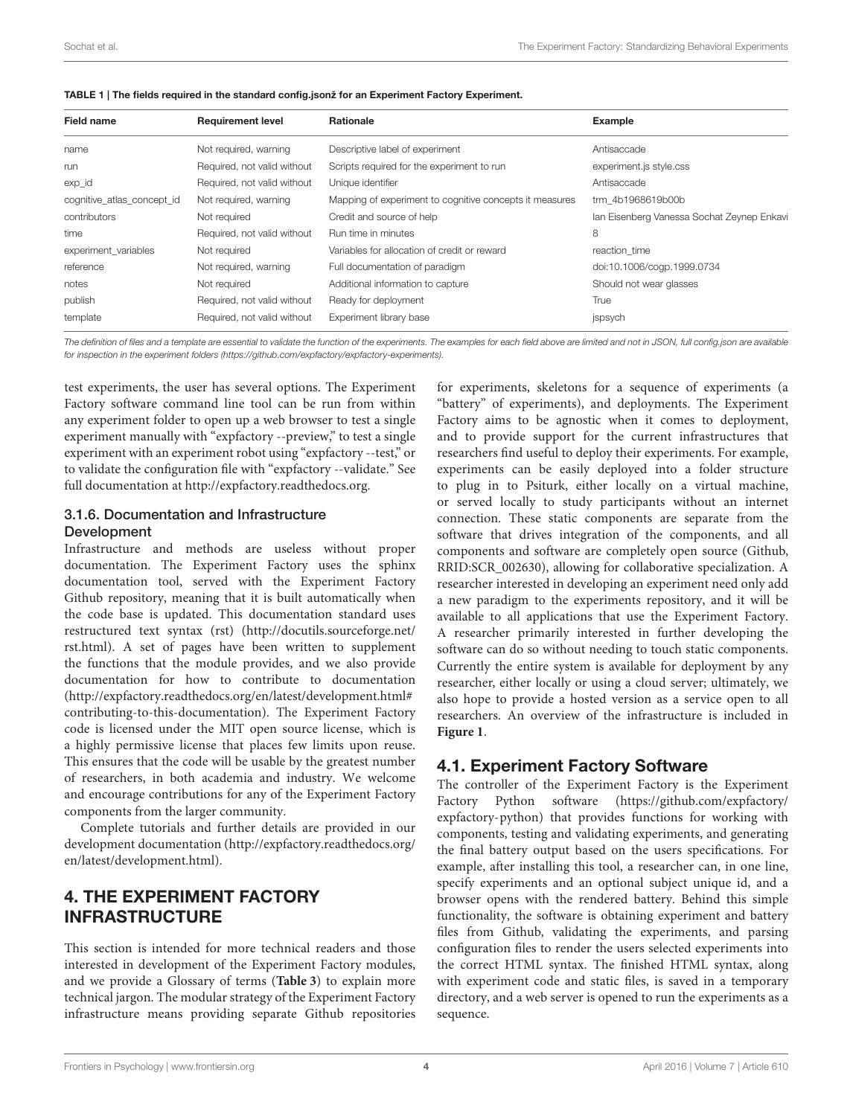| <b>Field name</b>          | <b>Requirement level</b>    | <b>Rationale</b>                                        | Example                                    |
|----------------------------|-----------------------------|---------------------------------------------------------|--------------------------------------------|
| name                       | Not required, warning       | Descriptive label of experiment                         | Antisaccade                                |
| run                        | Required, not valid without | Scripts required for the experiment to run              | experiment.js style.css                    |
| exp_id                     | Required, not valid without | Unique identifier                                       | Antisaccade                                |
| cognitive_atlas_concept_id | Not required, warning       | Mapping of experiment to cognitive concepts it measures | trm 4b1968619b00b                          |
| contributors               | Not required                | Credit and source of help                               | Ian Eisenberg Vanessa Sochat Zeynep Enkavi |
| time                       | Required, not valid without | Run time in minutes                                     | 8                                          |
| experiment variables       | Not required                | Variables for allocation of credit or reward            | reaction time                              |
| reference                  | Not required, warning       | Full documentation of paradigm                          | doi:10.1006/cogp.1999.0734                 |
| notes                      | Not required                | Additional information to capture                       | Should not wear glasses                    |
| publish                    | Required, not valid without | Ready for deployment                                    | True                                       |
| template                   | Required, not valid without | Experiment library base                                 | jspsych                                    |

<span id="page-3-0"></span>

|  |  |  |  |  | TABLE 1   The fields required in the standard config.jsonž for an Experiment Factory Experiment. |
|--|--|--|--|--|--------------------------------------------------------------------------------------------------|
|--|--|--|--|--|--------------------------------------------------------------------------------------------------|

The definition of files and a template are essential to validate the function of the experiments. The examples for each field above are limited and not in JSON, full config.json are available for inspection in the experiment folders [\(https://github.com/expfactory/expfactory-experiments\)](https://github.com/expfactory/expfactory-experiments).

test experiments, the user has several options. The Experiment Factory software command line tool can be run from within any experiment folder to open up a web browser to test a single experiment manually with "expfactory --preview," to test a single experiment with an experiment robot using "expfactory --test," or to validate the configuration file with "expfactory --validate." See full documentation at [http://expfactory.readthedocs.org.](http://expfactory.readthedocs.org)

#### 3.1.6. Documentation and Infrastructure Development

Infrastructure and methods are useless without proper documentation. The Experiment Factory uses the sphinx documentation tool, served with the Experiment Factory Github repository, meaning that it is built automatically when the code base is updated. This documentation standard uses restructured text syntax (rst) [\(http://docutils.sourceforge.net/](http://docutils.sourceforge.net/rst.html) [rst.html\)](http://docutils.sourceforge.net/rst.html). A set of pages have been written to supplement the functions that the module provides, and we also provide documentation for how to contribute to documentation [\(http://expfactory.readthedocs.org/en/latest/development.html#](http://expfactory.readthedocs.org/en/latest/development.html#contributing-to-this-documentation) [contributing-to-this-documentation\)](http://expfactory.readthedocs.org/en/latest/development.html#contributing-to-this-documentation). The Experiment Factory code is licensed under the MIT open source license, which is a highly permissive license that places few limits upon reuse. This ensures that the code will be usable by the greatest number of researchers, in both academia and industry. We welcome and encourage contributions for any of the Experiment Factory components from the larger community.

Complete tutorials and further details are provided in our development documentation [\(http://expfactory.readthedocs.org/](http://expfactory.readthedocs.org/en/latest/development.html) [en/latest/development.html\)](http://expfactory.readthedocs.org/en/latest/development.html).

# 4. THE EXPERIMENT FACTORY INFRASTRUCTURE

This section is intended for more technical readers and those interested in development of the Experiment Factory modules, and we provide a Glossary of terms (**[Table 3](#page-6-0)**) to explain more technical jargon. The modular strategy of the Experiment Factory infrastructure means providing separate Github repositories for experiments, skeletons for a sequence of experiments (a "battery" of experiments), and deployments. The Experiment Factory aims to be agnostic when it comes to deployment, and to provide support for the current infrastructures that researchers find useful to deploy their experiments. For example, experiments can be easily deployed into a folder structure to plug in to Psiturk, either locally on a virtual machine, or served locally to study participants without an internet connection. These static components are separate from the software that drives integration of the components, and all components and software are completely open source (Github, [RRID:SCR\\_002630\)](https://scicrunch.org/resolver/RRID:SCR_002630), allowing for collaborative specialization. A researcher interested in developing an experiment need only add a new paradigm to the experiments repository, and it will be available to all applications that use the Experiment Factory. A researcher primarily interested in further developing the software can do so without needing to touch static components. Currently the entire system is available for deployment by any researcher, either locally or using a cloud server; ultimately, we also hope to provide a hosted version as a service open to all researchers. An overview of the infrastructure is included in **[Figure 1](#page-4-0)**.

### 4.1. Experiment Factory Software

The controller of the Experiment Factory is the Experiment Factory Python software [\(https://github.com/expfactory/](https://github.com/expfactory/expfactory-python) [expfactory-python\)](https://github.com/expfactory/expfactory-python) that provides functions for working with components, testing and validating experiments, and generating the final battery output based on the users specifications. For example, after installing this tool, a researcher can, in one line, specify experiments and an optional subject unique id, and a browser opens with the rendered battery. Behind this simple functionality, the software is obtaining experiment and battery files from Github, validating the experiments, and parsing configuration files to render the users selected experiments into the correct HTML syntax. The finished HTML syntax, along with experiment code and static files, is saved in a temporary directory, and a web server is opened to run the experiments as a sequence.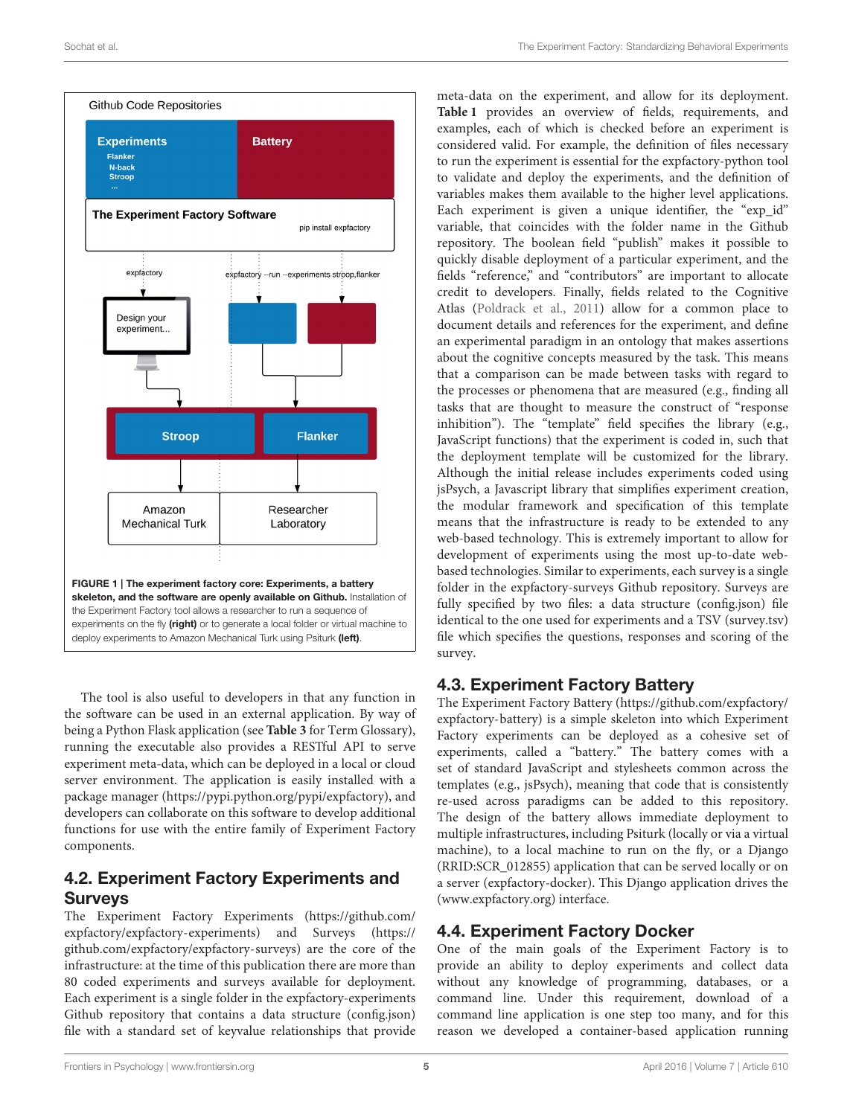

<span id="page-4-0"></span>The tool is also useful to developers in that any function in the software can be used in an external application. By way of being a Python Flask application (see **[Table 3](#page-6-0)** for Term Glossary), running the executable also provides a RESTful API to serve experiment meta-data, which can be deployed in a local or cloud server environment. The application is easily installed with a package manager [\(https://pypi.python.org/pypi/expfactory\)](https://pypi.python.org/pypi/expfactory), and developers can collaborate on this software to develop additional functions for use with the entire family of Experiment Factory components.

# 4.2. Experiment Factory Experiments and Surveys

The Experiment Factory Experiments [\(https://github.com/](https://github.com/expfactory/expfactory-experiments) [expfactory/expfactory-experiments\)](https://github.com/expfactory/expfactory-experiments) and Surveys [\(https://](https://github.com/expfactory/expfactory-surveys) [github.com/expfactory/expfactory-surveys\)](https://github.com/expfactory/expfactory-surveys) are the core of the infrastructure: at the time of this publication there are more than 80 coded experiments and surveys available for deployment. Each experiment is a single folder in the expfactory-experiments Github repository that contains a data structure (config.json) file with a standard set of keyvalue relationships that provide

meta-data on the experiment, and allow for its deployment. **[Table 1](#page-3-0)** provides an overview of fields, requirements, and examples, each of which is checked before an experiment is considered valid. For example, the definition of files necessary to run the experiment is essential for the expfactory-python tool to validate and deploy the experiments, and the definition of variables makes them available to the higher level applications. Each experiment is given a unique identifier, the "exp id" variable, that coincides with the folder name in the Github repository. The boolean field "publish" makes it possible to quickly disable deployment of a particular experiment, and the fields "reference," and "contributors" are important to allocate credit to developers. Finally, fields related to the Cognitive Atlas [\(Poldrack et al., 2011\)](#page-8-14) allow for a common place to document details and references for the experiment, and define an experimental paradigm in an ontology that makes assertions about the cognitive concepts measured by the task. This means that a comparison can be made between tasks with regard to the processes or phenomena that are measured (e.g., finding all tasks that are thought to measure the construct of "response inhibition"). The "template" field specifies the library (e.g., JavaScript functions) that the experiment is coded in, such that the deployment template will be customized for the library. Although the initial release includes experiments coded using jsPsych, a Javascript library that simplifies experiment creation, the modular framework and specification of this template means that the infrastructure is ready to be extended to any web-based technology. This is extremely important to allow for development of experiments using the most up-to-date webbased technologies. Similar to experiments, each survey is a single folder in the expfactory-surveys Github repository. Surveys are fully specified by two files: a data structure (config.json) file identical to the one used for experiments and a TSV (survey.tsv) file which specifies the questions, responses and scoring of the survey.

# 4.3. Experiment Factory Battery

The Experiment Factory Battery [\(https://github.com/expfactory/](https://github.com/expfactory/expfactory-battery) [expfactory-battery\)](https://github.com/expfactory/expfactory-battery) is a simple skeleton into which Experiment Factory experiments can be deployed as a cohesive set of experiments, called a "battery." The battery comes with a set of standard JavaScript and stylesheets common across the templates (e.g., jsPsych), meaning that code that is consistently re-used across paradigms can be added to this repository. The design of the battery allows immediate deployment to multiple infrastructures, including Psiturk (locally or via a virtual machine), to a local machine to run on the fly, or a Django [\(RRID:SCR\\_012855\)](https://scicrunch.org/resolver/RRID:SCR_012855) application that can be served locally or on a server (expfactory-docker). This Django application drives the [\(www.expfactory.org\)](www.expfactory.org) interface.

# 4.4. Experiment Factory Docker

One of the main goals of the Experiment Factory is to provide an ability to deploy experiments and collect data without any knowledge of programming, databases, or a command line. Under this requirement, download of a command line application is one step too many, and for this reason we developed a container-based application running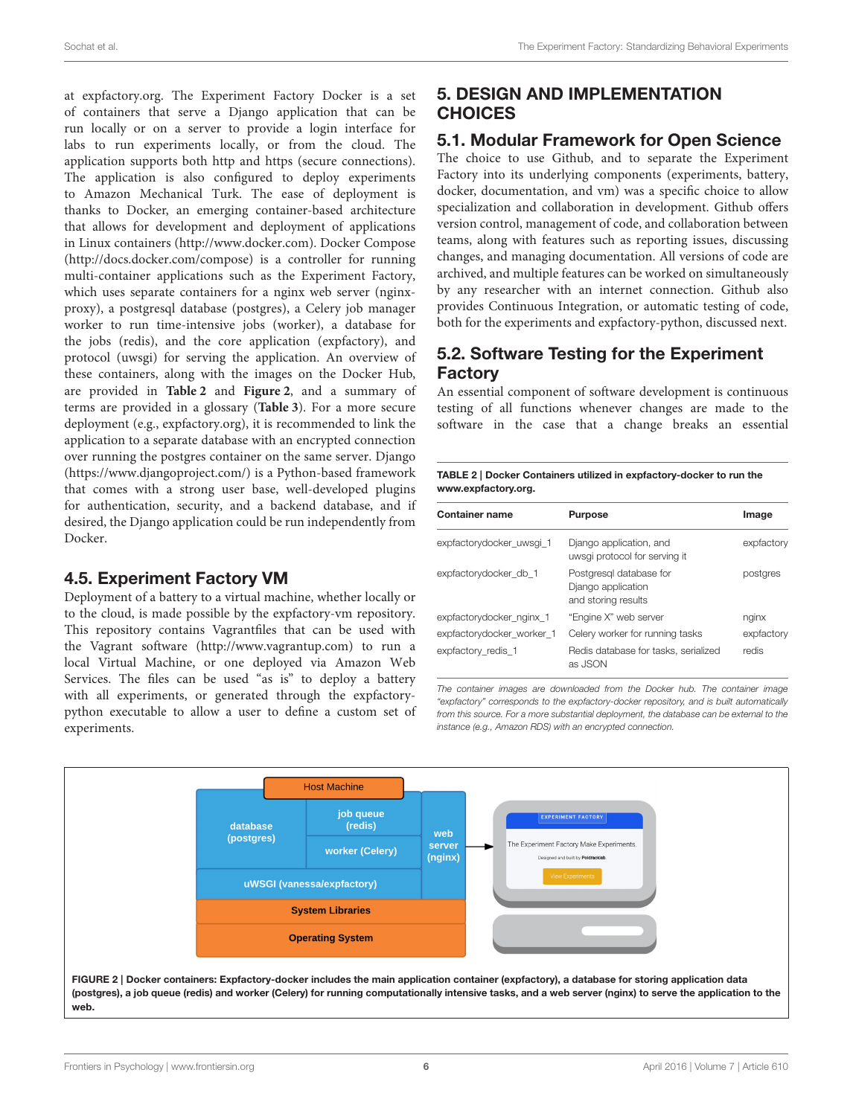at expfactory.org. The Experiment Factory Docker is a set of containers that serve a Django application that can be run locally or on a server to provide a login interface for labs to run experiments locally, or from the cloud. The application supports both http and https (secure connections). The application is also configured to deploy experiments to Amazon Mechanical Turk. The ease of deployment is thanks to Docker, an emerging container-based architecture that allows for development and deployment of applications in Linux containers [\(http://www.docker.com\)](http://www.docker.com). Docker Compose [\(http://docs.docker.com/compose\)](http://docs.docker.com/compose) is a controller for running multi-container applications such as the Experiment Factory, which uses separate containers for a nginx web server (nginxproxy), a postgresql database (postgres), a Celery job manager worker to run time-intensive jobs (worker), a database for the jobs (redis), and the core application (expfactory), and protocol (uwsgi) for serving the application. An overview of these containers, along with the images on the Docker Hub, are provided in **[Table 2](#page-5-0)** and **[Figure 2](#page-5-1)**, and a summary of terms are provided in a glossary (**[Table 3](#page-6-0)**). For a more secure deployment (e.g., expfactory.org), it is recommended to link the application to a separate database with an encrypted connection over running the postgres container on the same server. Django [\(https://www.djangoproject.com/\)](https://www.djangoproject.com/) is a Python-based framework that comes with a strong user base, well-developed plugins for authentication, security, and a backend database, and if desired, the Django application could be run independently from Docker.

# 4.5. Experiment Factory VM

Deployment of a battery to a virtual machine, whether locally or to the cloud, is made possible by the expfactory-vm repository. This repository contains Vagrantfiles that can be used with the Vagrant software [\(http://www.vagrantup.com\)](http://www.vagrantup.com) to run a local Virtual Machine, or one deployed via Amazon Web Services. The files can be used "as is" to deploy a battery with all experiments, or generated through the expfactorypython executable to allow a user to define a custom set of experiments.

# 5. DESIGN AND IMPLEMENTATION **CHOICES**

# 5.1. Modular Framework for Open Science

The choice to use Github, and to separate the Experiment Factory into its underlying components (experiments, battery, docker, documentation, and vm) was a specific choice to allow specialization and collaboration in development. Github offers version control, management of code, and collaboration between teams, along with features such as reporting issues, discussing changes, and managing documentation. All versions of code are archived, and multiple features can be worked on simultaneously by any researcher with an internet connection. Github also provides Continuous Integration, or automatic testing of code, both for the experiments and expfactory-python, discussed next.

# 5.2. Software Testing for the Experiment Factory

An essential component of software development is continuous testing of all functions whenever changes are made to the software in the case that a change breaks an essential

<span id="page-5-0"></span>

| TABLE 2   Docker Containers utilized in expfactory-docker to run the |
|----------------------------------------------------------------------|
| www.expfactory.org.                                                  |

| <b>Container name</b>     | <b>Purpose</b>                                                       | Image      |
|---------------------------|----------------------------------------------------------------------|------------|
| expfactorydocker uwsgi 1  | Django application, and<br>uwsgi protocol for serving it             | expfactory |
| expfactorydocker db 1     | Postgresgl database for<br>Django application<br>and storing results | postgres   |
| expfactorydocker nginx 1  | "Engine X" web server                                                | nginx      |
| expfactorydocker worker 1 | Celery worker for running tasks                                      | expfactory |
| expfactory redis 1        | Redis database for tasks, serialized<br>as JSON                      | redis      |

The container images are downloaded from the Docker hub. The container image "expfactory" corresponds to the expfactory-docker repository, and is built automatically from this source. For a more substantial deployment, the database can be external to the instance (e.g., Amazon RDS) with an encrypted connection.

<span id="page-5-1"></span>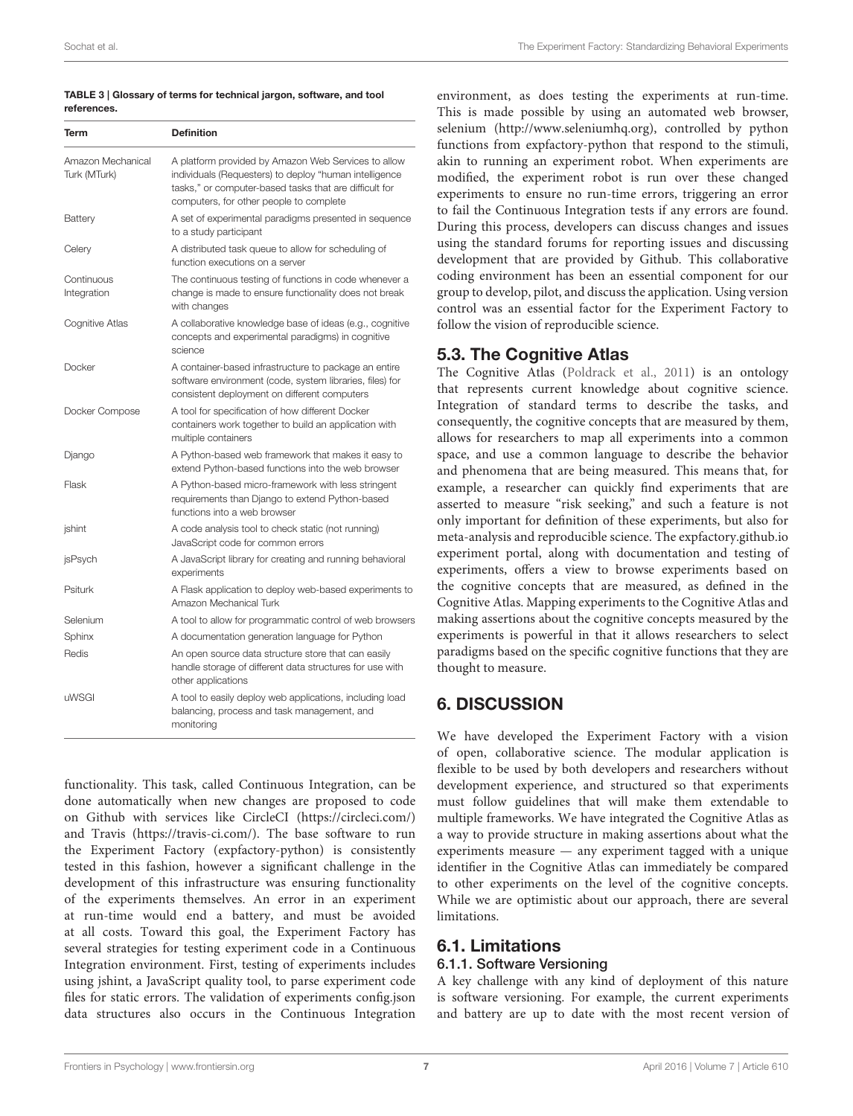#### <span id="page-6-0"></span>TABLE 3 | Glossary of terms for technical jargon, software, and tool references.

| Term                              | <b>Definition</b>                                                                                                                                                                                                  |  |  |  |
|-----------------------------------|--------------------------------------------------------------------------------------------------------------------------------------------------------------------------------------------------------------------|--|--|--|
| Amazon Mechanical<br>Turk (MTurk) | A platform provided by Amazon Web Services to allow<br>individuals (Requesters) to deploy "human intelligence<br>tasks," or computer-based tasks that are difficult for<br>computers, for other people to complete |  |  |  |
| Battery                           | A set of experimental paradigms presented in sequence<br>to a study participant                                                                                                                                    |  |  |  |
| Celery                            | A distributed task queue to allow for scheduling of<br>function executions on a server                                                                                                                             |  |  |  |
| Continuous<br>Integration         | The continuous testing of functions in code whenever a<br>change is made to ensure functionality does not break<br>with changes                                                                                    |  |  |  |
| Cognitive Atlas                   | A collaborative knowledge base of ideas (e.g., cognitive<br>concepts and experimental paradigms) in cognitive<br>science                                                                                           |  |  |  |
| Docker                            | A container-based infrastructure to package an entire<br>software environment (code, system libraries, files) for<br>consistent deployment on different computers                                                  |  |  |  |
| Docker Compose                    | A tool for specification of how different Docker<br>containers work together to build an application with<br>multiple containers                                                                                   |  |  |  |
| Django                            | A Python-based web framework that makes it easy to<br>extend Python-based functions into the web browser                                                                                                           |  |  |  |
| Flask                             | A Python-based micro-framework with less stringent<br>requirements than Django to extend Python-based<br>functions into a web browser                                                                              |  |  |  |
| jshint                            | A code analysis tool to check static (not running)<br>JavaScript code for common errors                                                                                                                            |  |  |  |
| jsPsych                           | A JavaScript library for creating and running behavioral<br>experiments                                                                                                                                            |  |  |  |
| Psiturk                           | A Flask application to deploy web-based experiments to<br>Amazon Mechanical Turk                                                                                                                                   |  |  |  |
| Selenium                          | A tool to allow for programmatic control of web browsers                                                                                                                                                           |  |  |  |
| Sphinx                            | A documentation generation language for Python                                                                                                                                                                     |  |  |  |
| Redis                             | An open source data structure store that can easily<br>handle storage of different data structures for use with<br>other applications                                                                              |  |  |  |
| uWSGI                             | A tool to easily deploy web applications, including load<br>balancing, process and task management, and<br>monitoring                                                                                              |  |  |  |

functionality. This task, called Continuous Integration, can be done automatically when new changes are proposed to code on Github with services like CircleCI [\(https://circleci.com/\)](https://circleci.com/) and Travis [\(https://travis-ci.com/\)](https://travis-ci.com/). The base software to run the Experiment Factory (expfactory-python) is consistently tested in this fashion, however a significant challenge in the development of this infrastructure was ensuring functionality of the experiments themselves. An error in an experiment at run-time would end a battery, and must be avoided at all costs. Toward this goal, the Experiment Factory has several strategies for testing experiment code in a Continuous Integration environment. First, testing of experiments includes using jshint, a JavaScript quality tool, to parse experiment code files for static errors. The validation of experiments config.json data structures also occurs in the Continuous Integration environment, as does testing the experiments at run-time. This is made possible by using an automated web browser, selenium [\(http://www.seleniumhq.org\)](http://www.seleniumhq.org), controlled by python functions from expfactory-python that respond to the stimuli, akin to running an experiment robot. When experiments are modified, the experiment robot is run over these changed experiments to ensure no run-time errors, triggering an error to fail the Continuous Integration tests if any errors are found. During this process, developers can discuss changes and issues using the standard forums for reporting issues and discussing development that are provided by Github. This collaborative coding environment has been an essential component for our group to develop, pilot, and discuss the application. Using version control was an essential factor for the Experiment Factory to follow the vision of reproducible science.

# 5.3. The Cognitive Atlas

The Cognitive Atlas [\(Poldrack et al., 2011\)](#page-8-14) is an ontology that represents current knowledge about cognitive science. Integration of standard terms to describe the tasks, and consequently, the cognitive concepts that are measured by them, allows for researchers to map all experiments into a common space, and use a common language to describe the behavior and phenomena that are being measured. This means that, for example, a researcher can quickly find experiments that are asserted to measure "risk seeking," and such a feature is not only important for definition of these experiments, but also for meta-analysis and reproducible science. The expfactory.github.io experiment portal, along with documentation and testing of experiments, offers a view to browse experiments based on the cognitive concepts that are measured, as defined in the Cognitive Atlas. Mapping experiments to the Cognitive Atlas and making assertions about the cognitive concepts measured by the experiments is powerful in that it allows researchers to select paradigms based on the specific cognitive functions that they are thought to measure.

# 6. DISCUSSION

We have developed the Experiment Factory with a vision of open, collaborative science. The modular application is flexible to be used by both developers and researchers without development experience, and structured so that experiments must follow guidelines that will make them extendable to multiple frameworks. We have integrated the Cognitive Atlas as a way to provide structure in making assertions about what the experiments measure — any experiment tagged with a unique identifier in the Cognitive Atlas can immediately be compared to other experiments on the level of the cognitive concepts. While we are optimistic about our approach, there are several limitations.

#### 6.1. Limitations 6.1.1. Software Versioning

A key challenge with any kind of deployment of this nature is software versioning. For example, the current experiments and battery are up to date with the most recent version of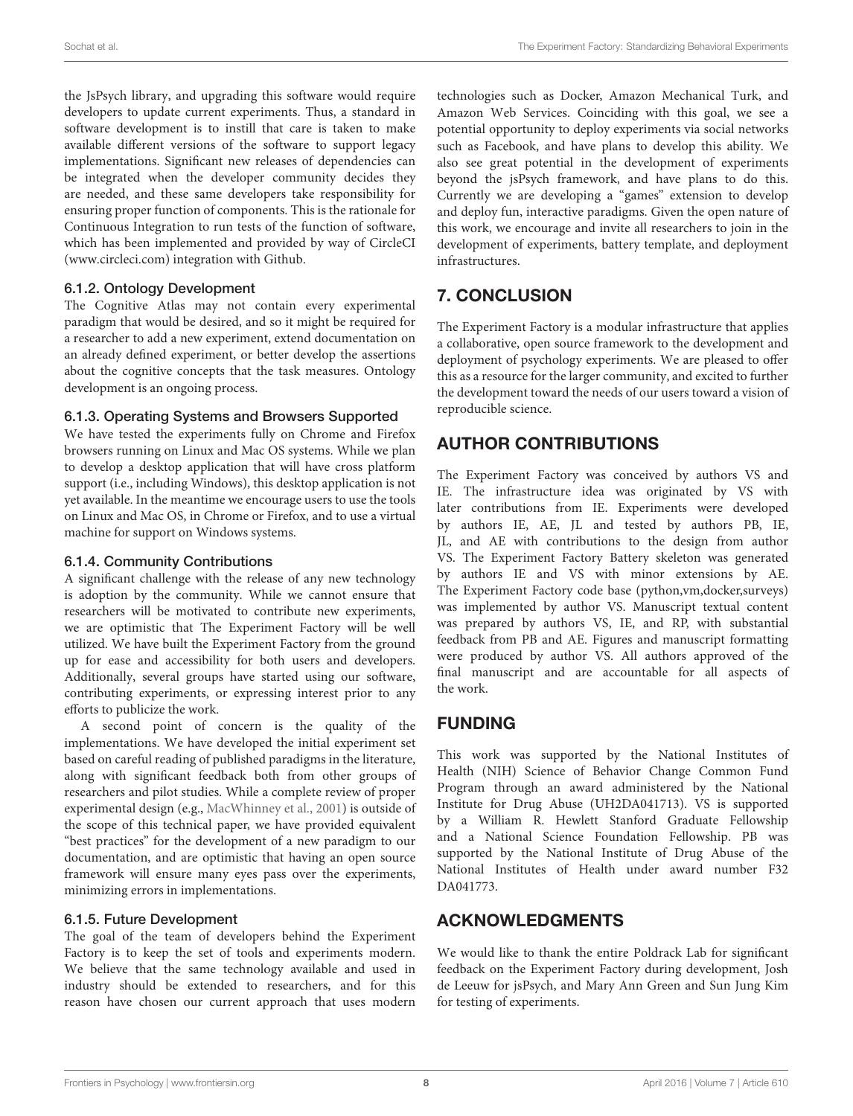the JsPsych library, and upgrading this software would require developers to update current experiments. Thus, a standard in software development is to instill that care is taken to make available different versions of the software to support legacy implementations. Significant new releases of dependencies can be integrated when the developer community decides they are needed, and these same developers take responsibility for ensuring proper function of components. This is the rationale for Continuous Integration to run tests of the function of software, which has been implemented and provided by way of CircleCI [\(www.circleci.com\)](www.circleci.com) integration with Github.

### 6.1.2. Ontology Development

The Cognitive Atlas may not contain every experimental paradigm that would be desired, and so it might be required for a researcher to add a new experiment, extend documentation on an already defined experiment, or better develop the assertions about the cognitive concepts that the task measures. Ontology development is an ongoing process.

#### 6.1.3. Operating Systems and Browsers Supported

We have tested the experiments fully on Chrome and Firefox browsers running on Linux and Mac OS systems. While we plan to develop a desktop application that will have cross platform support (i.e., including Windows), this desktop application is not yet available. In the meantime we encourage users to use the tools on Linux and Mac OS, in Chrome or Firefox, and to use a virtual machine for support on Windows systems.

#### 6.1.4. Community Contributions

A significant challenge with the release of any new technology is adoption by the community. While we cannot ensure that researchers will be motivated to contribute new experiments, we are optimistic that The Experiment Factory will be well utilized. We have built the Experiment Factory from the ground up for ease and accessibility for both users and developers. Additionally, several groups have started using our software, contributing experiments, or expressing interest prior to any efforts to publicize the work.

A second point of concern is the quality of the implementations. We have developed the initial experiment set based on careful reading of published paradigms in the literature, along with significant feedback both from other groups of researchers and pilot studies. While a complete review of proper experimental design (e.g., [MacWhinney et al., 2001\)](#page-8-12) is outside of the scope of this technical paper, we have provided equivalent "best practices" for the development of a new paradigm to our documentation, and are optimistic that having an open source framework will ensure many eyes pass over the experiments, minimizing errors in implementations.

### 6.1.5. Future Development

The goal of the team of developers behind the Experiment Factory is to keep the set of tools and experiments modern. We believe that the same technology available and used in industry should be extended to researchers, and for this reason have chosen our current approach that uses modern technologies such as Docker, Amazon Mechanical Turk, and Amazon Web Services. Coinciding with this goal, we see a potential opportunity to deploy experiments via social networks such as Facebook, and have plans to develop this ability. We also see great potential in the development of experiments beyond the jsPsych framework, and have plans to do this. Currently we are developing a "games" extension to develop and deploy fun, interactive paradigms. Given the open nature of this work, we encourage and invite all researchers to join in the development of experiments, battery template, and deployment infrastructures.

# 7. CONCLUSION

The Experiment Factory is a modular infrastructure that applies a collaborative, open source framework to the development and deployment of psychology experiments. We are pleased to offer this as a resource for the larger community, and excited to further the development toward the needs of our users toward a vision of reproducible science.

# AUTHOR CONTRIBUTIONS

The Experiment Factory was conceived by authors VS and IE. The infrastructure idea was originated by VS with later contributions from IE. Experiments were developed by authors IE, AE, JL and tested by authors PB, IE, JL, and AE with contributions to the design from author VS. The Experiment Factory Battery skeleton was generated by authors IE and VS with minor extensions by AE. The Experiment Factory code base (python,vm,docker,surveys) was implemented by author VS. Manuscript textual content was prepared by authors VS, IE, and RP, with substantial feedback from PB and AE. Figures and manuscript formatting were produced by author VS. All authors approved of the final manuscript and are accountable for all aspects of the work.

# FUNDING

This work was supported by the National Institutes of Health (NIH) Science of Behavior Change Common Fund Program through an award administered by the National Institute for Drug Abuse (UH2DA041713). VS is supported by a William R. Hewlett Stanford Graduate Fellowship and a National Science Foundation Fellowship. PB was supported by the National Institute of Drug Abuse of the National Institutes of Health under award number F32 DA041773.

# ACKNOWLEDGMENTS

We would like to thank the entire Poldrack Lab for significant feedback on the Experiment Factory during development, Josh de Leeuw for jsPsych, and Mary Ann Green and Sun Jung Kim for testing of experiments.